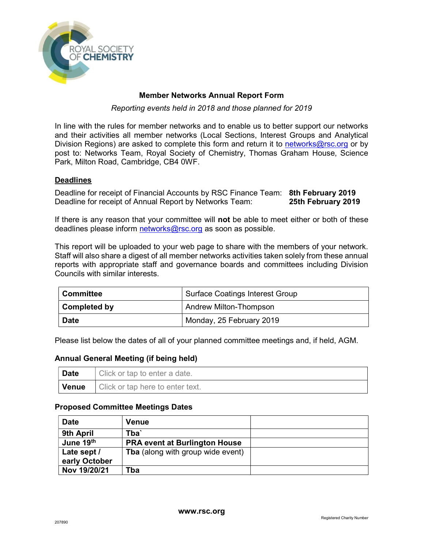

## Member Networks Annual Report Form

Reporting events held in 2018 and those planned for 2019

In line with the rules for member networks and to enable us to better support our networks and their activities all member networks (Local Sections, Interest Groups and Analytical Division Regions) are asked to complete this form and return it to networks@rsc.org or by post to: Networks Team, Royal Society of Chemistry, Thomas Graham House, Science Park, Milton Road, Cambridge, CB4 0WF.

## **Deadlines**

Deadline for receipt of Financial Accounts by RSC Finance Team: 8th February 2019 Deadline for receipt of Annual Report by Networks Team: 25th February 2019

If there is any reason that your committee will **not** be able to meet either or both of these deadlines please inform networks@rsc.org as soon as possible.

This report will be uploaded to your web page to share with the members of your network. Staff will also share a digest of all member networks activities taken solely from these annual reports with appropriate staff and governance boards and committees including Division Councils with similar interests.

| <b>Committee</b>    | <b>Surface Coatings Interest Group</b> |
|---------------------|----------------------------------------|
| <b>Completed by</b> | <b>Andrew Milton-Thompson</b>          |
| <b>Date</b>         | Monday, 25 February 2019               |

Please list below the dates of all of your planned committee meetings and, if held, AGM.

## Annual General Meeting (if being held)

| <b>Date</b> | I Click or tap to enter a date.                 |
|-------------|-------------------------------------------------|
|             | <b>Venue</b>   Click or tap here to enter text. |

#### Proposed Committee Meetings Dates

| <b>Date</b>   | Venue                                    |  |
|---------------|------------------------------------------|--|
| 9th April     | Tba`                                     |  |
| June 19th     | <b>PRA event at Burlington House</b>     |  |
| Late sept /   | <b>Tba</b> (along with group wide event) |  |
| early October |                                          |  |
| Nov 19/20/21  | Tba                                      |  |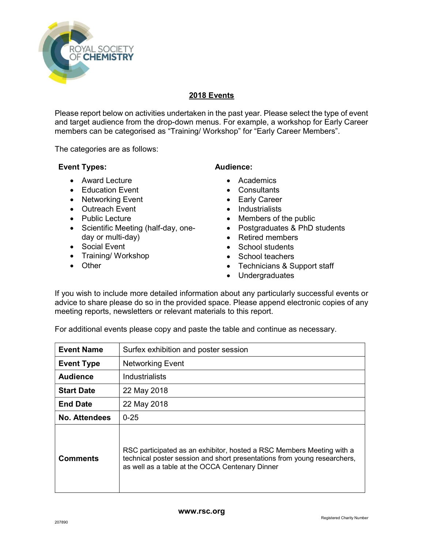

# 2018 Events

Please report below on activities undertaken in the past year. Please select the type of event and target audience from the drop-down menus. For example, a workshop for Early Career members can be categorised as "Training/ Workshop" for "Early Career Members".

The categories are as follows:

## Event Types:

- Award Lecture
- **•** Education Event
- Networking Event
- Outreach Event
- Public Lecture
- Scientific Meeting (half-day, oneday or multi-day)
- Social Event
- Training/ Workshop
- Other

# Audience:

- Academics
- Consultants
- Early Career
- Industrialists
- Members of the public
- Postgraduates & PhD students
- Retired members
- School students
- School teachers
- Technicians & Support staff
- Undergraduates

If you wish to include more detailed information about any particularly successful events or advice to share please do so in the provided space. Please append electronic copies of any meeting reports, newsletters or relevant materials to this report.

| <b>Event Name</b>    | Surfex exhibition and poster session                                                                                                                                                                 |
|----------------------|------------------------------------------------------------------------------------------------------------------------------------------------------------------------------------------------------|
| <b>Event Type</b>    | <b>Networking Event</b>                                                                                                                                                                              |
| <b>Audience</b>      | Industrialists                                                                                                                                                                                       |
| <b>Start Date</b>    | 22 May 2018                                                                                                                                                                                          |
| <b>End Date</b>      | 22 May 2018                                                                                                                                                                                          |
| <b>No. Attendees</b> | $0 - 25$                                                                                                                                                                                             |
| <b>Comments</b>      | RSC participated as an exhibitor, hosted a RSC Members Meeting with a<br>technical poster session and short presentations from young researchers,<br>as well as a table at the OCCA Centenary Dinner |

For additional events please copy and paste the table and continue as necessary.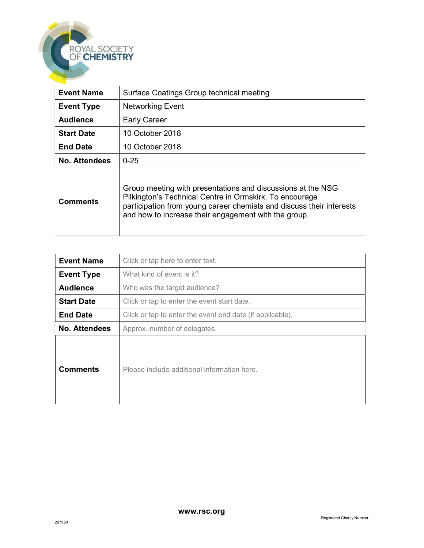| <b>Event Name</b>    | Surface Coatings Group technical meeting                                                                                                                                                                                                               |
|----------------------|--------------------------------------------------------------------------------------------------------------------------------------------------------------------------------------------------------------------------------------------------------|
| <b>Event Type</b>    | <b>Networking Event</b>                                                                                                                                                                                                                                |
| <b>Audience</b>      | <b>Early Career</b>                                                                                                                                                                                                                                    |
| <b>Start Date</b>    | 10 October 2018                                                                                                                                                                                                                                        |
| <b>End Date</b>      | 10 October 2018                                                                                                                                                                                                                                        |
| <b>No. Attendees</b> | $0 - 25$                                                                                                                                                                                                                                               |
| <b>Comments</b>      | Group meeting with presentations and discussions at the NSG<br>Pilkington's Technical Centre in Ormskirk. To encourage<br>participation from young career chemists and discuss their interests<br>and how to increase their engagement with the group. |

| <b>Event Name</b>    | Click or tap here to enter text.                          |
|----------------------|-----------------------------------------------------------|
| <b>Event Type</b>    | What kind of event is it?                                 |
| <b>Audience</b>      | Who was the target audience?                              |
| <b>Start Date</b>    | Click or tap to enter the event start date.               |
| <b>End Date</b>      | Click or tap to enter the event end date (if applicable). |
| <b>No. Attendees</b> | Approx. number of delegates.                              |
| <b>Comments</b>      | Please include additional information here.               |

ROYAL SOCIETY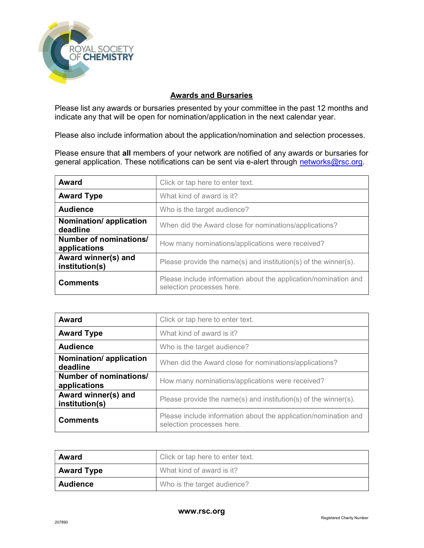

# Awards and Bursaries

Please list any awards or bursaries presented by your committee in the past 12 months and indicate any that will be open for nomination/application in the next calendar year.

Please also include information about the application/nomination and selection processes.

Please ensure that all members of your network are notified of any awards or bursaries for general application. These notifications can be sent via e-alert through networks@rsc.org.

| <b>Award</b>                           | Click or tap here to enter text.                                                             |
|----------------------------------------|----------------------------------------------------------------------------------------------|
| <b>Award Type</b>                      | What kind of award is it?                                                                    |
| <b>Audience</b>                        | Who is the target audience?                                                                  |
| Nomination/ application<br>deadline    | When did the Award close for nominations/applications?                                       |
| Number of nominations/<br>applications | How many nominations/applications were received?                                             |
| Award winner(s) and<br>institution(s)  | Please provide the name(s) and institution(s) of the winner(s).                              |
| <b>Comments</b>                        | Please include information about the application/nomination and<br>selection processes here. |

| <b>Award</b>                           | Click or tap here to enter text.                                                             |
|----------------------------------------|----------------------------------------------------------------------------------------------|
| <b>Award Type</b>                      | What kind of award is it?                                                                    |
| <b>Audience</b>                        | Who is the target audience?                                                                  |
| Nomination/ application<br>deadline    | When did the Award close for nominations/applications?                                       |
| Number of nominations/<br>applications | How many nominations/applications were received?                                             |
| Award winner(s) and<br>institution(s)  | Please provide the name(s) and institution(s) of the winner(s).                              |
| <b>Comments</b>                        | Please include information about the application/nomination and<br>selection processes here. |

| Award             | Click or tap here to enter text. |
|-------------------|----------------------------------|
| <b>Award Type</b> | What kind of award is it?        |
| <b>Audience</b>   | Who is the target audience?      |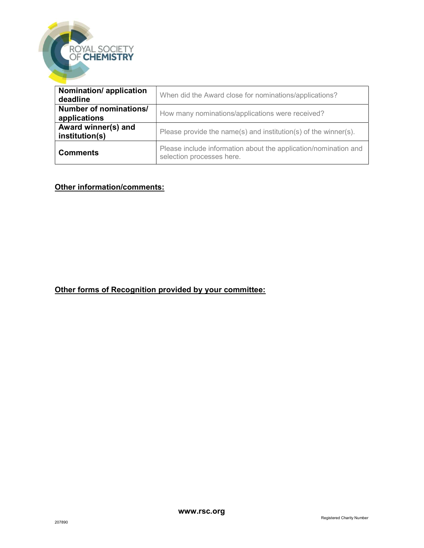

| Nomination/ application<br>deadline    | When did the Award close for nominations/applications?                                       |
|----------------------------------------|----------------------------------------------------------------------------------------------|
| Number of nominations/<br>applications | How many nominations/applications were received?                                             |
| Award winner(s) and<br>institution(s)  | Please provide the name(s) and institution(s) of the winner(s).                              |
| <b>Comments</b>                        | Please include information about the application/nomination and<br>selection processes here. |

# Other information/comments:

# Other forms of Recognition provided by your committee: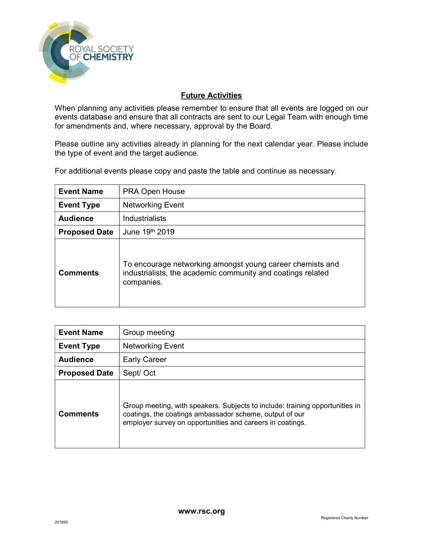

# Future Activities

When planning any activities please remember to ensure that all events are logged on our events database and ensure that all contracts are sent to our Legal Team with enough time for amendments and, where necessary, approval by the Board.

Please outline any activities already in planning for the next calendar year. Please include the type of event and the target audience.

For additional events please copy and paste the table and continue as necessary.

| <b>Event Name</b>    | <b>PRA Open House</b>                                                                                                                  |
|----------------------|----------------------------------------------------------------------------------------------------------------------------------------|
| <b>Event Type</b>    | <b>Networking Event</b>                                                                                                                |
| <b>Audience</b>      | <b>Industrialists</b>                                                                                                                  |
| <b>Proposed Date</b> | June 19th 2019                                                                                                                         |
| <b>Comments</b>      | To encourage networking amongst young career chemists and<br>industrialists, the academic community and coatings related<br>companies. |

| <b>Event Name</b>    | Group meeting                                                                                                                                                                                        |
|----------------------|------------------------------------------------------------------------------------------------------------------------------------------------------------------------------------------------------|
| <b>Event Type</b>    | <b>Networking Event</b>                                                                                                                                                                              |
| <b>Audience</b>      | <b>Early Career</b>                                                                                                                                                                                  |
| <b>Proposed Date</b> | Sept/ Oct                                                                                                                                                                                            |
| <b>Comments</b>      | Group meeting, with speakers. Subjects to include: training opportunities in<br>coatings, the coatings ambassador scheme, output of our<br>employer survey on opportunities and careers in coatings. |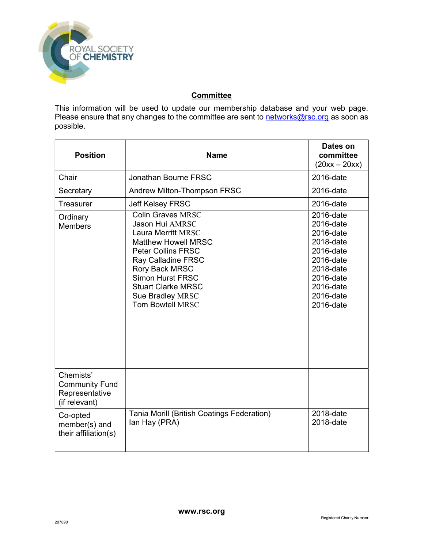

# **Committee**

This information will be used to update our membership database and your web page. Please ensure that any changes to the committee are sent to networks@rsc.org as soon as possible.

| <b>Position</b>                                                       | <b>Name</b>                                                                                                                                                                                                                                                                               | Dates on<br>committee<br>$(20xx - 20xx)$                                                                                                    |
|-----------------------------------------------------------------------|-------------------------------------------------------------------------------------------------------------------------------------------------------------------------------------------------------------------------------------------------------------------------------------------|---------------------------------------------------------------------------------------------------------------------------------------------|
| Chair                                                                 | Jonathan Bourne FRSC                                                                                                                                                                                                                                                                      | 2016-date                                                                                                                                   |
| Secretary                                                             | Andrew Milton-Thompson FRSC                                                                                                                                                                                                                                                               | 2016-date                                                                                                                                   |
| Treasurer                                                             | <b>Jeff Kelsey FRSC</b>                                                                                                                                                                                                                                                                   | 2016-date                                                                                                                                   |
| Ordinary<br><b>Members</b>                                            | <b>Colin Graves MRSC</b><br><b>Jason Hui AMRSC</b><br>Laura Merritt MRSC<br><b>Matthew Howell MRSC</b><br><b>Peter Collins FRSC</b><br><b>Ray Calladine FRSC</b><br>Rory Back MRSC<br><b>Simon Hurst FRSC</b><br><b>Stuart Clarke MRSC</b><br>Sue Bradley MRSC<br><b>Tom Bowtell MRSC</b> | 2016-date<br>2016-date<br>2016-date<br>2018-date<br>2016-date<br>2016-date<br>2018-date<br>2016-date<br>2016-date<br>2016-date<br>2016-date |
| Chemists'<br><b>Community Fund</b><br>Representative<br>(if relevant) |                                                                                                                                                                                                                                                                                           |                                                                                                                                             |
| Co-opted<br>member(s) and<br>their affiliation(s)                     | Tania Morill (British Coatings Federation)<br>lan Hay (PRA)                                                                                                                                                                                                                               | 2018-date<br>2018-date                                                                                                                      |